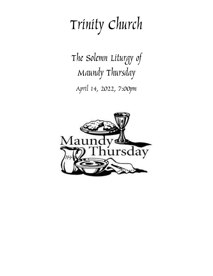# Trinity Church

The Solemn Liturgy of Maundy Thursday April 14, 2022, 7:00pm

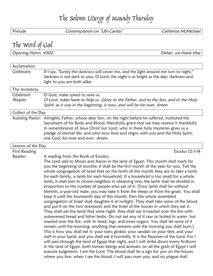## The Solemn Liturgy of Maundy Thursday

| Prelude                         | Contemplation on "Ubi Caritas"                                                                                                                                                                                                                                                                                                                                                                                                                                                                                                                                                                                                                                                                                                                                                                                                                                                                                                                                                                                                                                                                                                                                                                                                                                                                                                                                                                                                                                                                                                                                                                                                                                                                                                                                                                                                                    | <b>Catherine McMichael</b> |
|---------------------------------|---------------------------------------------------------------------------------------------------------------------------------------------------------------------------------------------------------------------------------------------------------------------------------------------------------------------------------------------------------------------------------------------------------------------------------------------------------------------------------------------------------------------------------------------------------------------------------------------------------------------------------------------------------------------------------------------------------------------------------------------------------------------------------------------------------------------------------------------------------------------------------------------------------------------------------------------------------------------------------------------------------------------------------------------------------------------------------------------------------------------------------------------------------------------------------------------------------------------------------------------------------------------------------------------------------------------------------------------------------------------------------------------------------------------------------------------------------------------------------------------------------------------------------------------------------------------------------------------------------------------------------------------------------------------------------------------------------------------------------------------------------------------------------------------------------------------------------------------------|----------------------------|
| The Word of God                 |                                                                                                                                                                                                                                                                                                                                                                                                                                                                                                                                                                                                                                                                                                                                                                                                                                                                                                                                                                                                                                                                                                                                                                                                                                                                                                                                                                                                                                                                                                                                                                                                                                                                                                                                                                                                                                                   |                            |
| Opening Hymn #302               |                                                                                                                                                                                                                                                                                                                                                                                                                                                                                                                                                                                                                                                                                                                                                                                                                                                                                                                                                                                                                                                                                                                                                                                                                                                                                                                                                                                                                                                                                                                                                                                                                                                                                                                                                                                                                                                   | Father, we thank thee      |
|                                 |                                                                                                                                                                                                                                                                                                                                                                                                                                                                                                                                                                                                                                                                                                                                                                                                                                                                                                                                                                                                                                                                                                                                                                                                                                                                                                                                                                                                                                                                                                                                                                                                                                                                                                                                                                                                                                                   |                            |
| Acclamation                     |                                                                                                                                                                                                                                                                                                                                                                                                                                                                                                                                                                                                                                                                                                                                                                                                                                                                                                                                                                                                                                                                                                                                                                                                                                                                                                                                                                                                                                                                                                                                                                                                                                                                                                                                                                                                                                                   |                            |
| Celebrant:                      | If I say, "Surely the darkness will cover me, and the light around me turn to night,"<br>darkness is not dark to you, O Lord; the night is as bright as the day; darkness and<br>light to you are both alike.                                                                                                                                                                                                                                                                                                                                                                                                                                                                                                                                                                                                                                                                                                                                                                                                                                                                                                                                                                                                                                                                                                                                                                                                                                                                                                                                                                                                                                                                                                                                                                                                                                     |                            |
| The Invitatory                  |                                                                                                                                                                                                                                                                                                                                                                                                                                                                                                                                                                                                                                                                                                                                                                                                                                                                                                                                                                                                                                                                                                                                                                                                                                                                                                                                                                                                                                                                                                                                                                                                                                                                                                                                                                                                                                                   |                            |
| Celebrant:<br>People:           | O God, make speed to save us.<br>O Lord, make haste to help us. Glory to the Father, and to the Son, and to the Holy<br>Spirit: as it was in the beginning, is now, and will be for ever. Amen.                                                                                                                                                                                                                                                                                                                                                                                                                                                                                                                                                                                                                                                                                                                                                                                                                                                                                                                                                                                                                                                                                                                                                                                                                                                                                                                                                                                                                                                                                                                                                                                                                                                   |                            |
| Collect of the Day              |                                                                                                                                                                                                                                                                                                                                                                                                                                                                                                                                                                                                                                                                                                                                                                                                                                                                                                                                                                                                                                                                                                                                                                                                                                                                                                                                                                                                                                                                                                                                                                                                                                                                                                                                                                                                                                                   |                            |
|                                 | Assisting Pastor: Almighty Father, whose dear Son, on the night before he suffered, instituted the<br>Sacrament of his Body and Blood: Mercifully grant that we may receive it thankfully<br>in remembrance of Jesus Christ our Lord, who in these holy mysteries gives us a<br>pledge of eternal life; and who now lives and reigns with you and the Holy Spirit,<br>one God, for ever and ever. Amen.                                                                                                                                                                                                                                                                                                                                                                                                                                                                                                                                                                                                                                                                                                                                                                                                                                                                                                                                                                                                                                                                                                                                                                                                                                                                                                                                                                                                                                           |                            |
| Lessons of the Day              |                                                                                                                                                                                                                                                                                                                                                                                                                                                                                                                                                                                                                                                                                                                                                                                                                                                                                                                                                                                                                                                                                                                                                                                                                                                                                                                                                                                                                                                                                                                                                                                                                                                                                                                                                                                                                                                   |                            |
| <b>First Reading</b><br>Reader: | A reading from the Book of Exodus.<br>The Lord said to Moses and Aaron in the land of Egypt: This month shall mark for<br>you the beginning of months; it shall be the first month of the year for you. Tell the<br>whole congregation of Israel that on the tenth of this month they are to take a lamb<br>for each family, a lamb for each household. If a household is too small for a whole<br>lamb, it shall join its closest neighbor in obtaining one; the lamb shall be divided in<br>proportion to the number of people who eat of it. [Your lamb shall be without<br>blemish, a year-old male; you may take it from the sheep or from the goats. You shall<br>keep it until the fourteenth day of this month; then the whole assembled<br>congregation of Israel shall slaughter it at twilight. They shall take some of the blood<br>and put it on the two doorposts and the lintel of the houses in which they eat it.<br>They shall eat the lamb that same night; they shall eat it roasted over the fire with<br>unleavened bread and bitter herbs. Do not eat any of it raw or boiled in water, but<br>roasted over the fire, with its head, legs, and inner organs. You shall let none of it<br>remain until the morning; anything that remains until the morning you shall burn.]<br>This is how you shall eat it: your loins girded, your sandals on your feet, and your<br>staff in your hand; and you shall eat it hurriedly. It is the Passover of the Lord. For I<br>will pass through the land of Egypt that night, and I will strike down every firstborn<br>in the land of Egypt, both human beings and animals; on all the gods of Egypt I will<br>execute judgments: I am the Lord. The blood shall be a sign for you on the houses<br>where you live: when I see the blood, I will pass over you, and no plague shall | Exodus 12:1-14             |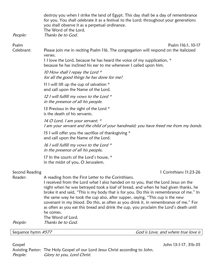| People:             | destroy you when I strike the land of Egypt. This day shall be a day of remembrance<br>for you. You shall celebrate it as a festival to the Lord; throughout your generations<br>you shall observe it as a perpetual ordinance.<br>The Word of the Lord.<br>Thanks be to God.                                                                                                                                                                                                                                                                                                                                              |
|---------------------|----------------------------------------------------------------------------------------------------------------------------------------------------------------------------------------------------------------------------------------------------------------------------------------------------------------------------------------------------------------------------------------------------------------------------------------------------------------------------------------------------------------------------------------------------------------------------------------------------------------------------|
|                     |                                                                                                                                                                                                                                                                                                                                                                                                                                                                                                                                                                                                                            |
| Psalm<br>Celebrant: | Psalm 116:1, 10-17<br>Please join me in reciting Psalm 116. The congregation will respond on the italicized<br>verses.<br>11 love the Lord, because he has heard the voice of my supplication, *<br>because he has inclined his ear to me whenever I called upon him.                                                                                                                                                                                                                                                                                                                                                      |
|                     | 10 How shall I repay the Lord *<br>for all the good things he has done for me?                                                                                                                                                                                                                                                                                                                                                                                                                                                                                                                                             |
|                     | 11 I will lift up the cup of salvation *<br>and call upon the Name of the Lord.                                                                                                                                                                                                                                                                                                                                                                                                                                                                                                                                            |
|                     | 12 I will fulfill my vows to the Lord *<br>in the presence of all his people.                                                                                                                                                                                                                                                                                                                                                                                                                                                                                                                                              |
|                     | 13 Precious in the sight of the Lord *<br>is the death of his servants.                                                                                                                                                                                                                                                                                                                                                                                                                                                                                                                                                    |
|                     | 14 O Lord, I am your servant; *<br>I am your servant and the child of your handmaid; you have freed me from my bonds.                                                                                                                                                                                                                                                                                                                                                                                                                                                                                                      |
|                     | 15 I will offer you the sacrifice of thanksgiving *<br>and call upon the Name of the Lord.                                                                                                                                                                                                                                                                                                                                                                                                                                                                                                                                 |
|                     | 16 I will fulfill my vows to the Lord *<br>in the presence of all his people,                                                                                                                                                                                                                                                                                                                                                                                                                                                                                                                                              |
|                     | 17 In the courts of the Lord's house, *<br>in the midst of you, O Jerusalem.                                                                                                                                                                                                                                                                                                                                                                                                                                                                                                                                               |
| Second Reading      | 1 Corinthians 11:23-26                                                                                                                                                                                                                                                                                                                                                                                                                                                                                                                                                                                                     |
| Reader:             | A reading from the First Letter to the Corinthians.<br>I received from the Lord what I also handed on to you, that the Lord Jesus on the<br>night when he was betrayed took a loaf of bread, and when he had given thanks, he<br>broke it and said, "This is my body that is for you. Do this in remembrance of me." In<br>the same way he took the cup also, after supper, saying, "This cup is the new<br>covenant in my blood. Do this, as often as you drink it, in remembrance of me." For<br>as often as you eat this bread and drink the cup, you proclaim the Lord's death until<br>he comes.<br>The Word of Lord. |
| People:             | Thanks be to God.                                                                                                                                                                                                                                                                                                                                                                                                                                                                                                                                                                                                          |
| Sequence hymn #577  | God is Love, and where true love is                                                                                                                                                                                                                                                                                                                                                                                                                                                                                                                                                                                        |

| Gospel         |                                                                               |  |
|----------------|-------------------------------------------------------------------------------|--|
|                | Assisting Pastor: The Holy Gospel of our Lord Jesus Christ according to John. |  |
| <i>People:</i> | Glory to you, Lord Christ.                                                    |  |

ohn 13:1-17, 31b-35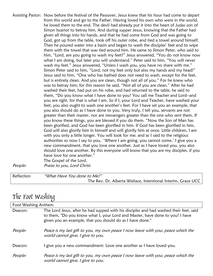Assisting Pastor: Now before the festival of the Passover, Jesus knew that his hour had come to depart from this world and go to the Father. Having loved his own who were in the world, he loved them to the end. The devil had already put it into the heart of Judas son of Simon Iscariot to betray him. And during supper Jesus, knowing that the Father had given all things into his hands, and that he had come from God and was going to God, got up from the table, took off his outer robe, and tied a towel around himself. Then he poured water into a basin and began to wash the disciples' feet and to wipe them with the towel that was tied around him. He came to Simon Peter, who said to him, "Lord, are you going to wash my feet?" Jesus answered, "You do not know now what I am doing, but later you will understand." Peter said to him, "You will never wash my feet." Jesus answered, "Unless I wash you, you have no share with me." Simon Peter said to him, "Lord, not my feet only but also my hands and my head!" Jesus said to him, "One who has bathed does not need to wash, except for the feet, but is entirely clean. And you are clean, though not all of you." For he knew who was to betray him; for this reason he said, "Not all of you are clean." After he had washed their feet, had put on his robe, and had returned to the table, he said to them, "Do you know what I have done to you? You call me Teacher and Lord--and you are right, for that is what I am. So if I, your Lord and Teacher, have washed your feet, you also ought to wash one another's feet. For I have set you an example, that you also should do as I have done to you. Very truly, I tell you, servants are not greater than their master, nor are messengers greater than the one who sent them. If you know these things, you are blessed if you do them. "Now the Son of Man has been glorified, and God has been glorified in him. If God has been glorified in him, God will also glorify him in himself and will glorify him at once. Little children, I am with you only a little longer. You will look for me; and as I said to the religious authorities so now I say to you, `Where I am going, you cannot come.' I give you a new commandment, that you love one another. Just as I have loved you, you also should love one another. By this everyone will know that you are my disciples, if you have love for one another." The Gospel of the Lord.

People: Praise to you, Lord Christ.

Reflection "What Have You done to Me?" The Rev. Dr. Alberta Wallace, Intentional Interim, Grace UCC

### The Foot Washing

| Foot Washing Anthem |                                                                                                                                                                                                                                     |  |  |
|---------------------|-------------------------------------------------------------------------------------------------------------------------------------------------------------------------------------------------------------------------------------|--|--|
| Deacon:             | The Lord Jesus, after he had supped with his disciples and had washed their feet, said<br>to them, "Do you know what I, your Lord and Master, have done to you? I have<br>given you an example, that you should do as I have done." |  |  |
| People:             | Peace is my last gift to you, my own peace I now leave with you; peace which the<br>world cannot give, I give to you.                                                                                                               |  |  |
| Deacon:             | I give you a new commandment: Love one another as I have loved you.                                                                                                                                                                 |  |  |
| People:             | Peace is my last gift to you, my own peace I now leave with you; peace which the<br>world cannot give, I give to you.                                                                                                               |  |  |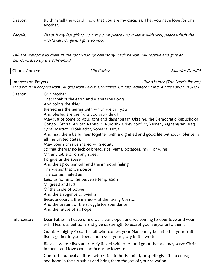Deacon: By this shall the world know that you are my disciples: That you have love for one another.

People: Peace is my last gift to you, my own peace I now leave with you; peace which the world cannot give, I give to you.

(All are welcome to share in the foot washing ceremony. Each person will receive and give as demonstrated by the officiants.)

| Choral Anthem               | Ubi Caritas                                                                                                                                                                                                                                                                                                                                                                                                                                                                                                                                                                                                                                                                                                                                                                                                                                                                                                                                                                                                                                      | Maurice Duruflé                |
|-----------------------------|--------------------------------------------------------------------------------------------------------------------------------------------------------------------------------------------------------------------------------------------------------------------------------------------------------------------------------------------------------------------------------------------------------------------------------------------------------------------------------------------------------------------------------------------------------------------------------------------------------------------------------------------------------------------------------------------------------------------------------------------------------------------------------------------------------------------------------------------------------------------------------------------------------------------------------------------------------------------------------------------------------------------------------------------------|--------------------------------|
|                             |                                                                                                                                                                                                                                                                                                                                                                                                                                                                                                                                                                                                                                                                                                                                                                                                                                                                                                                                                                                                                                                  |                                |
| <b>Intercession Prayers</b> |                                                                                                                                                                                                                                                                                                                                                                                                                                                                                                                                                                                                                                                                                                                                                                                                                                                                                                                                                                                                                                                  | Our Mother (The Lord's Prayer) |
|                             | (This prayer is adapted from Liturgies from Below. Carvalhaes, Claudio. Abingdon Press. Kindle Edition, p.300.)                                                                                                                                                                                                                                                                                                                                                                                                                                                                                                                                                                                                                                                                                                                                                                                                                                                                                                                                  |                                |
| Deacon:                     | Our Mother<br>That inhabits the earth and waters the floors<br>And colors the skies<br>Blessed are the names with which we call you<br>And blessed are the fruits you provide us<br>May justice come to your sons and daughters in Ukraine, the Democratic Republic of<br>Congo, Central African Republic, Kurdish-Turkey conflict, Yemen, Afghanistan, Iraq,<br>Syria, Mexico, El Salvador, Somalia, Libya.<br>And may there be fullness together with a dignified and good life without violence in<br>all the United States.<br>May your riches be shared with equity<br>So that there is no lack of bread, rice, yams, potatoes, milk, or wine<br>On any table or on any street<br>Forgive us the abuse<br>And the agrochemicals and the immoral failing<br>The waters that we poison<br>The contaminated air<br>Lead us not into the perverse temptation<br>Of greed and lust<br>Of the pride of power<br>And the arrogance of wealth<br>Because yours is the memory of the loving Creator<br>And the present of the struggle for abundance |                                |
| Intercessor:                | And the future of all hope.<br>Dear Father in heaven, find our hearts open and welcoming to your love and your<br>will. Hear our petitions and give us strength to accept your response to them.                                                                                                                                                                                                                                                                                                                                                                                                                                                                                                                                                                                                                                                                                                                                                                                                                                                 |                                |
|                             | Grant, Almighty God, that all who confess your Name may be united in your truth,<br>live together in your love, and reveal your glory in the world.                                                                                                                                                                                                                                                                                                                                                                                                                                                                                                                                                                                                                                                                                                                                                                                                                                                                                              |                                |
|                             | Bless all whose lives are closely linked with ours, and grant that we may serve Christ<br>in them, and love one another as he loves us.                                                                                                                                                                                                                                                                                                                                                                                                                                                                                                                                                                                                                                                                                                                                                                                                                                                                                                          |                                |
|                             | Comfort and heal all those who suffer in body, mind, or spirit; give them courage<br>and hope in their troubles and bring them the joy of your salvation.                                                                                                                                                                                                                                                                                                                                                                                                                                                                                                                                                                                                                                                                                                                                                                                                                                                                                        |                                |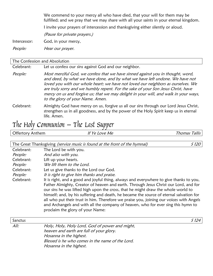We commend to your mercy all who have died, that your will for them may be fulfilled; and we pray that we may share with all your saints in your eternal kingdom. I invite your prayers of intercession and thanksgiving either silently or aloud. (Pause for private prayers.) Intercessor: God, in your mercy, People: Hear our prayer.

#### The Confession and Absolution Celebrant: Let us confess our sins against God and our neighbor. People: Most merciful God, we confess that we have sinned against you in thought, word, and deed, by what we have done, and by what we have left undone. We have not loved you with our whole heart; we have not loved our neighbors as ourselves. We are truly sorry and we humbly repent. For the sake of your Son Jesus Christ, have mercy on us and forgive us; that we may delight in your will, and walk in your ways, to the glory of your Name. Amen. Celebrant: Almighty God have mercy on us, forgive us all our sins through our Lord Jesus Christ, strengthen us in all goodness, and by the power of the Holy Spirit keep us in eternal life. Amen.

### The Holy Communion  $-$  The Last Supper

| Offertory Anthem | If Ye Love Me                                                                           | Thomas Tallis |
|------------------|-----------------------------------------------------------------------------------------|---------------|
|                  |                                                                                         |               |
|                  | The Great Thanksgiving (service music is found at the front of the hymnal)              | S 120         |
| Celebrant:       | The Lord be with you.                                                                   |               |
| People:          | And also with you.                                                                      |               |
| Celebrant:       | Lift up your hearts.                                                                    |               |
| People:          | We lift them to the Lord.                                                               |               |
| Celebrant:       | Let us give thanks to the Lord our God.                                                 |               |
| People:          | It is right to give him thanks and praise.                                              |               |
| Celebrant:       | It is right, and a good and joyful thing, always and everywhere to give thanks to you,  |               |
|                  | Father Almighty, Creator of heaven and earth. Through Jesus Christ our Lord, and for    |               |
|                  | our sins he was lifted high upon the cross, that he might draw the whole world to       |               |
|                  | himself; and, by his suffering and death, he became the source of eternal salvation for |               |
|                  | all who put their trust in him. Therefore we praise you, joining our voices with Angels |               |
|                  | and Archangels and with all the company of heaven, who for ever sing this hymn to       |               |
|                  | proclaim the glory of your Name:                                                        |               |
|                  |                                                                                         |               |
| Sanctus          |                                                                                         | S124          |
| All:             | Holy, Holy, Holy Lord, God of power and might,                                          |               |
|                  | heaven and earth are full of your glory.                                                |               |
|                  | Hosanna in the highest.                                                                 |               |
|                  | Blessed is he who comes in the name of the Lord.                                        |               |
|                  | Hosanna in the highest.                                                                 |               |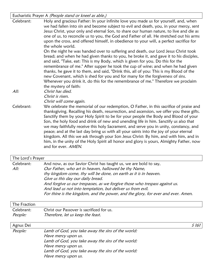Eucharistic Prayer A (People stand or kneel as able.)

| Celebrant: | Holy and gracious Father: In your infinite love you made us for yourself, and, when<br>we had fallen into sin and become subject to evil and death, you, in your mercy, sent                                                                                                                                                                                      |
|------------|-------------------------------------------------------------------------------------------------------------------------------------------------------------------------------------------------------------------------------------------------------------------------------------------------------------------------------------------------------------------|
|            | Jesus Christ, your only and eternal Son, to share our human nature, to live and die as                                                                                                                                                                                                                                                                            |
|            | one of us, to reconcile us to you, the God and Father of all. He stretched out his arms                                                                                                                                                                                                                                                                           |
|            | upon the cross, and offered himself, in obedience to your will, a perfect sacrifice for                                                                                                                                                                                                                                                                           |
|            | the whole world.                                                                                                                                                                                                                                                                                                                                                  |
|            | On the night he was handed over to suffering and death, our Lord Jesus Christ took                                                                                                                                                                                                                                                                                |
|            | bread; and when he had given thanks to you, he broke it, and gave it to his disciples,<br>and said, "Take, eat: This is my Body, which is given for you. Do this for the                                                                                                                                                                                          |
|            | remembrance of me." After supper he took the cup of wine; and when he had given<br>thanks, he gave it to them, and said, "Drink this, all of you: This is my Blood of the                                                                                                                                                                                         |
|            | new Covenant, which is shed for you and for many for the forgiveness of sins.                                                                                                                                                                                                                                                                                     |
|            | Whenever you drink it, do this for the remembrance of me." Therefore we proclaim                                                                                                                                                                                                                                                                                  |
|            | the mystery of faith:                                                                                                                                                                                                                                                                                                                                             |
| All:       | Christ has died.                                                                                                                                                                                                                                                                                                                                                  |
|            | Christ is risen.<br>Christ will come again.                                                                                                                                                                                                                                                                                                                       |
| Celebrant: | We celebrate the memorial of our redemption, O Father, in this sacrifice of praise and                                                                                                                                                                                                                                                                            |
|            | thanksgiving. Recalling his death, resurrection, and ascension, we offer you these gifts.<br>Sanctify them by your Holy Spirit to be for your people the Body and Blood of your<br>Son, the holy food and drink of new and unending life in him. Sanctify us also that                                                                                            |
|            | we may faithfully receive this holy Sacrament, and serve you in unity, constancy, and<br>peace; and at the last day bring us with all your saints into the joy of your eternal<br>kingdom. All this we ask through your Son Jesus Christ: By him, and with him, and in<br>him, in the unity of the Holy Spirit all honor and glory is yours, Almighty Father, now |
|            | and for ever. AMEN.                                                                                                                                                                                                                                                                                                                                               |

| The Lord's Prayer |                                                                                  |
|-------------------|----------------------------------------------------------------------------------|
| Celebrant:        | And now, as our Savior Christ has taught us, we are bold to say,                 |
| All:              | Our Father, who art in heaven, hallowed be thy Name,                             |
|                   | thy kingdom come, thy will be done, on earth as it is in heaven.                 |
|                   | Give us this day our daily bread.                                                |
|                   | And forgive us our trespasses, as we forgive those who trespass against us.      |
|                   | And lead us not into temptation, but deliver us from evil.                       |
|                   | For thine is the kingdom, and the power, and the glory, for ever and ever. Amen. |

### The Fraction

| Celebrant:     | Christ our Passover is sacrificed for us. |
|----------------|-------------------------------------------|
| <i>People:</i> | Therefore, let us keep the feast.         |

| Agnus Dei |                                                   | S 161 |
|-----------|---------------------------------------------------|-------|
| People:   | Lamb of God, you take away the sins of the world: |       |
|           | Have mercy upon us.                               |       |
|           | Lamb of God, you take away the sins of the world: |       |
|           | Have mercy upon us.                               |       |
|           | Lamb of God, you take away the sins of the world: |       |
|           | Have mercy upon us.                               |       |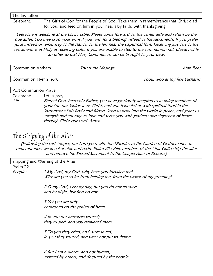#### The Invitation

Celebrant: The Gifts of God for the People of God. Take them in remembrance that Christ died for you, and feed on him in your hearts by faith, with thanksgiving.

Everyone is welcome at the Lord's table. Please come forward on the center aisle and return by the side aisles. You may cross your arms if you wish for a blessing instead of the sacraments. If you prefer juice instead of wine, step to the station on the left near the baptismal font. Receiving just one of the sacraments is as Holy as receiving both. If you are unable to step to the communion rail, please notify an usher so that Holy Communion can be brought to your pew.

| Communion<br>Anthem | This is the Message | $\sqrt{2}$<br>kees<br>Aldi. |
|---------------------|---------------------|-----------------------------|
|                     |                     |                             |

Communion Hymn  $\#315$  Communion Hymn  $\#315$ 

#### Post Communion Prayer

Celebrant: Let us pray.

All: Eternal God, heavenly Father, you have graciously accepted us as living members of your Son our Savior Jesus Christ, and you have fed us with spiritual food in the Sacrament of his Body and Blood. Send us now into the world in peace, and grant us strength and courage to love and serve you with gladness and singleness of heart; through Christ our Lord. Amen.

### The Stripping of the Altar

(Following the Last Supper, our Lord goes with the Disciples to the Garden of Gethsemane. In remembrance, we kneel as able and recite Psalm 22 while members of the Altar Guild strip the altar and remove the Blessed Sacrament to the Chapel Altar of Repose.)

Stripping and Washing of the Altar

Psalm 22

People: 1 My God, my God, why have you forsaken me? Why are you so far from helping me, from the words of my groaning?

> 2 O my God, I cry by day, but you do not answer; and by night, but find no rest.

3 Yet you are holy, enthroned on the praises of Israel.

4 In you our ancestors trusted; they trusted, and you delivered them.

5 To you they cried, and were saved; in you they trusted, and were not put to shame.

6 But I am a worm, and not human; scorned by others, and despised by the people.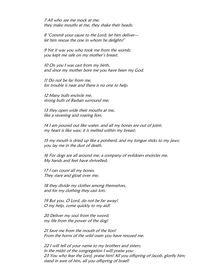7 All who see me mock at me; they make mouths at me, they shake their heads;

8 'Commit your cause to the Lord; let him deliver let him rescue the one in whom he delights!'

9 Yet it was you who took me from the womb; you kept me safe on my mother's breast.

10 On you I was cast from my birth, and since my mother bore me you have been my God.

11 Do not be far from me, for trouble is near and there is no one to help.

12 Many bulls encircle me, strong bulls of Bashan surround me;

13 they open wide their mouths at me, like a ravening and roaring lion.

14 I am poured out like water, and all my bones are out of joint; my heart is like wax; it is melted within my breast;

15 my mouth is dried up like a potsherd, and my tongue sticks to my jaws; you lay me in the dust of death.

16 For dogs are all around me; a company of evildoers encircles me. My hands and feet have shrivelled;

17 I can count all my bones. They stare and gloat over me;

18 they divide my clothes among themselves, and for my clothing they cast lots.

19 But you, O Lord, do not be far away! O my help, come quickly to my aid!

20 Deliver my soul from the sword, my life from the power of the dog!

21 Save me from the mouth of the lion! From the horns of the wild oxen you have rescued me.

22 I will tell of your name to my brothers and sisters; in the midst of the congregation I will praise you: 23 You who fear the Lord, praise him! All you offspring of Jacob, glorify him; stand in awe of him, all you offspring of Israel!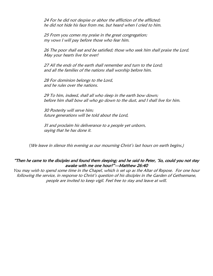24 For he did not despise or abhor the affliction of the afflicted; he did not hide his face from me, but heard when I cried to him.

25 From you comes my praise in the great congregation; my vows I will pay before those who fear him.

26 The poor shall eat and be satisfied; those who seek him shall praise the Lord. May your hearts live for ever!

27 All the ends of the earth shall remember and turn to the Lord: and all the families of the nations shall worship before him.

28 For dominion belongs to the Lord, and he rules over the nations.

29 To him, indeed, shall all who sleep in the earth bow down; before him shall bow all who go down to the dust, and I shall live for him.

30 Posterity will serve him; future generations will be told about the Lord,

31 and proclaim his deliverance to a people yet unborn, saying that he has done it.

(We leave in silence this evening as our mourning Christ's last hours on earth begins.)

#### "Then he came to the disciples and found them sleeping; and he said to Peter, 'So, could you not stay awake with me one hour?"—Matthew 26:40

You may wish to spend some time in the Chapel, which is set up as the Altar of Repose. For one hour following the service, in response to Christ's question of his disciples in the Garden of Gethsemane, people are invited to keep vigil. Feel free to stay and leave at will.